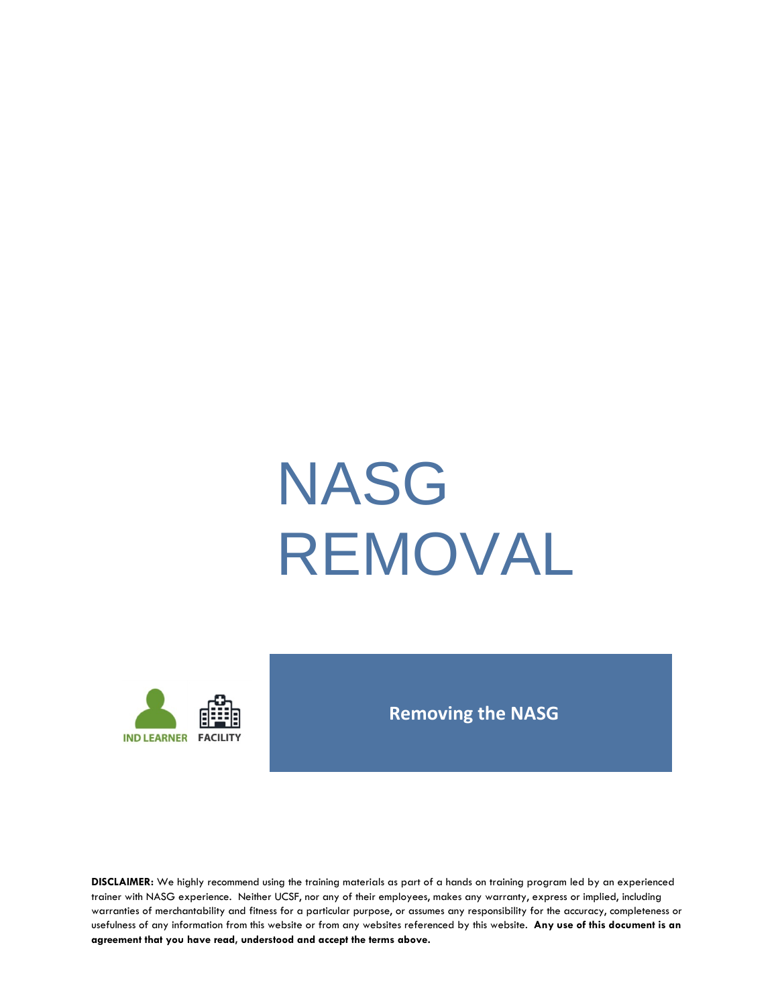# NASG REMOVAL



### **Removing the NASG**

**DISCLAIMER:** We highly recommend using the training materials as part of a hands on training program led by an experienced trainer with NASG experience. Neither UCSF, nor any of their employees, makes any warranty, express or implied, including warranties of merchantability and fitness for a particular purpose, or assumes any responsibility for the accuracy, completeness or usefulness of any information from this website or from any websites referenced by this website. **Any use of this document is an agreement that you have read, understood and accept the terms above.**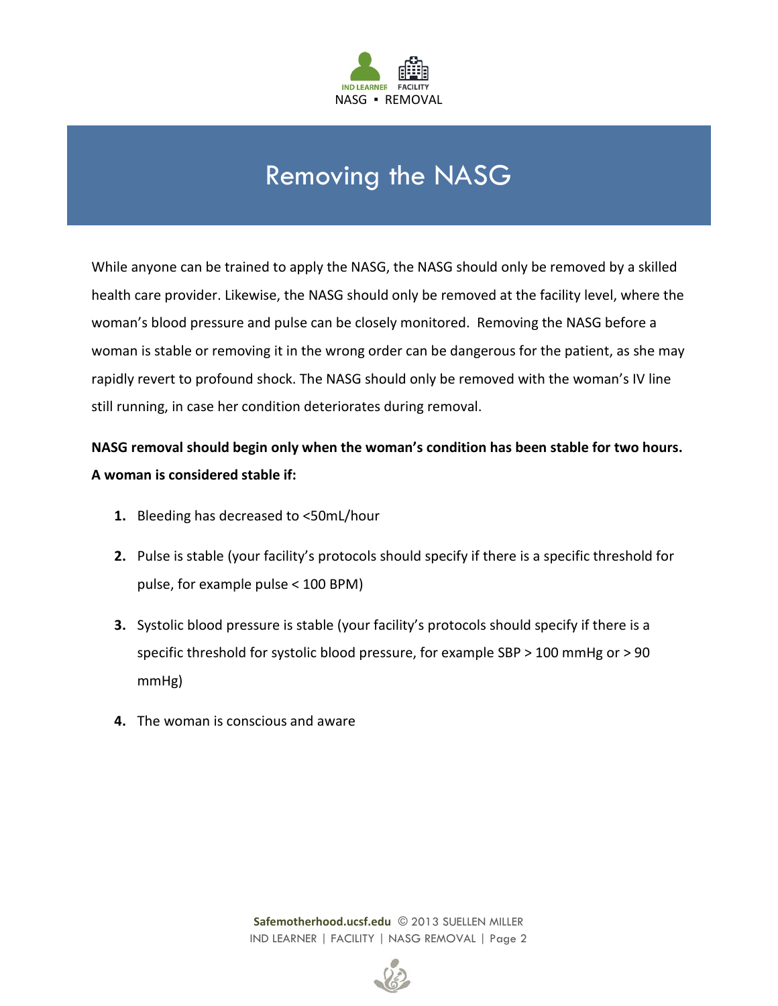

# Removing the NASG

While anyone can be trained to apply the NASG, the NASG should only be removed by a skilled health care provider. Likewise, the NASG should only be removed at the facility level, where the woman's blood pressure and pulse can be closely monitored. Removing the NASG before a woman is stable or removing it in the wrong order can be dangerous for the patient, as she may rapidly revert to profound shock. The NASG should only be removed with the woman's IV line still running, in case her condition deteriorates during removal.

**NASG removal should begin only when the woman's condition has been stable for two hours. A woman is considered stable if:**

- **1.** Bleeding has decreased to <50mL/hour
- **2.** Pulse is stable (your facility's protocols should specify if there is a specific threshold for pulse, for example pulse < 100 BPM)
- **3.** Systolic blood pressure is stable (your facility's protocols should specify if there is a specific threshold for systolic blood pressure, for example SBP > 100 mmHg or > 90 mmHg)
- **4.** The woman is conscious and aware

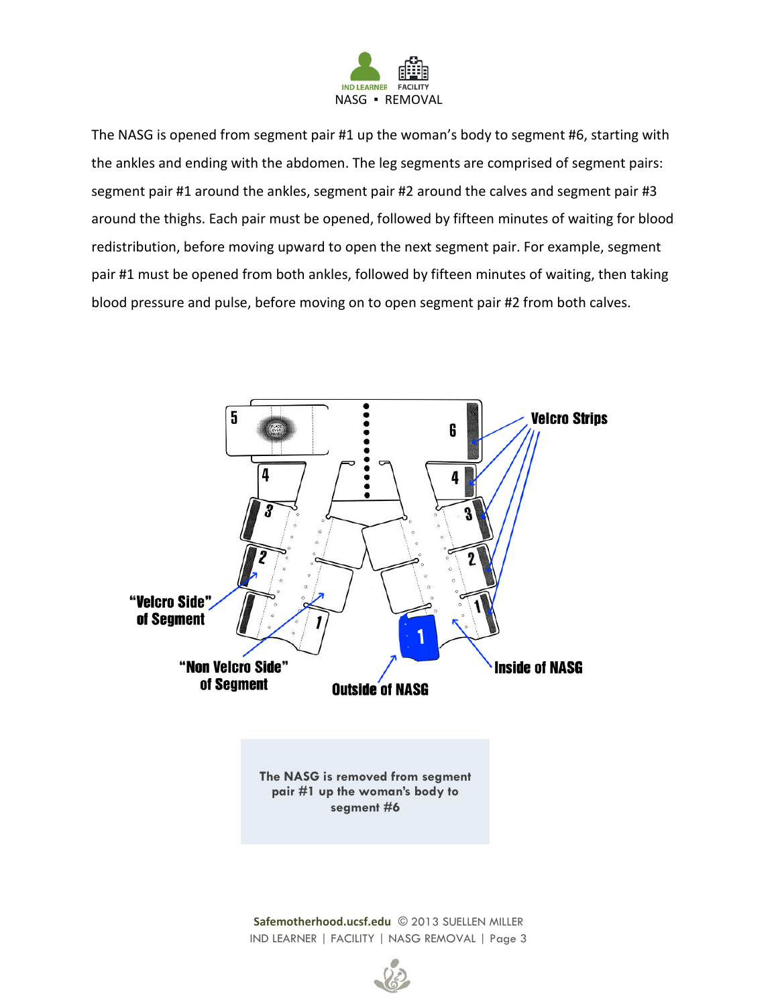

The NASG is opened from segment pair #1 up the woman's body to segment #6, starting with the ankles and ending with the abdomen. The leg segments are comprised of segment pairs: segment pair #1 around the ankles, segment pair #2 around the calves and segment pair #3 around the thighs. Each pair must be opened, followed by fifteen minutes of waiting for blood redistribution, before moving upward to open the next segment pair. For example, segment pair #1 must be opened from both ankles, followed by fifteen minutes of waiting, then taking blood pressure and pulse, before moving on to open segment pair #2 from both calves.



IND LEARNER | FACILITY | NASG REMOVAL | Page 3

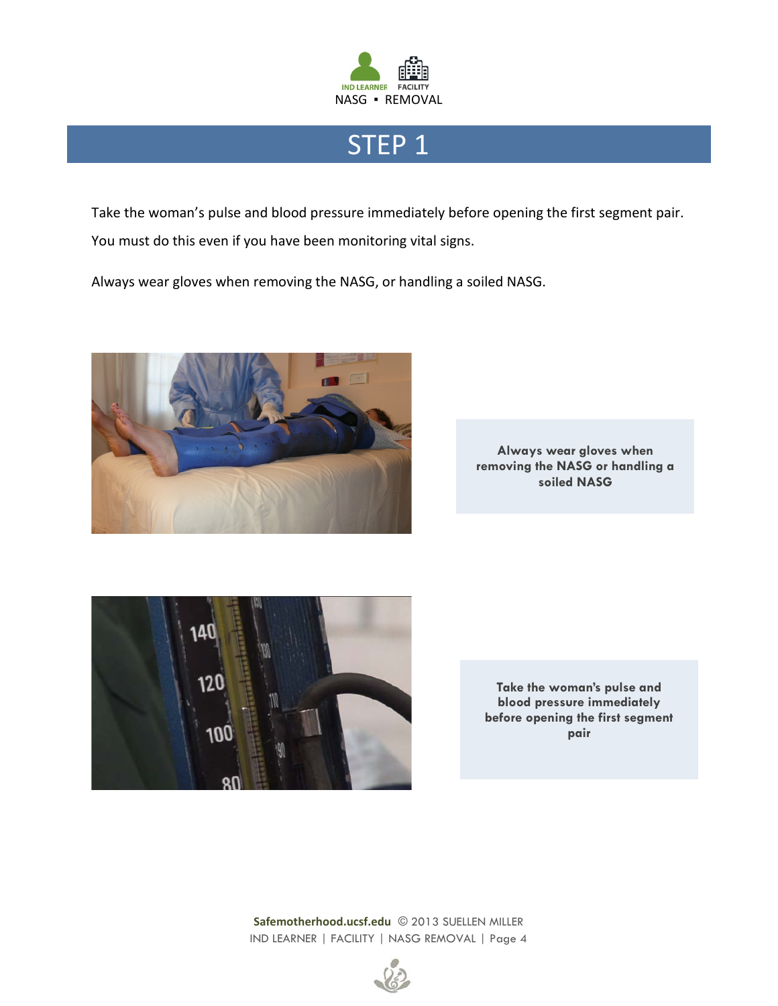

# STEP<sub>1</sub>

Take the woman's pulse and blood pressure immediately before opening the first segment pair. You must do this even if you have been monitoring vital signs.

Always wear gloves when removing the NASG, or handling a soiled NASG.



**Always wear gloves when removing the NASG or handling a soiled NASG** 



**Take the woman's pulse and blood pressure immediately before opening the first segment pair**

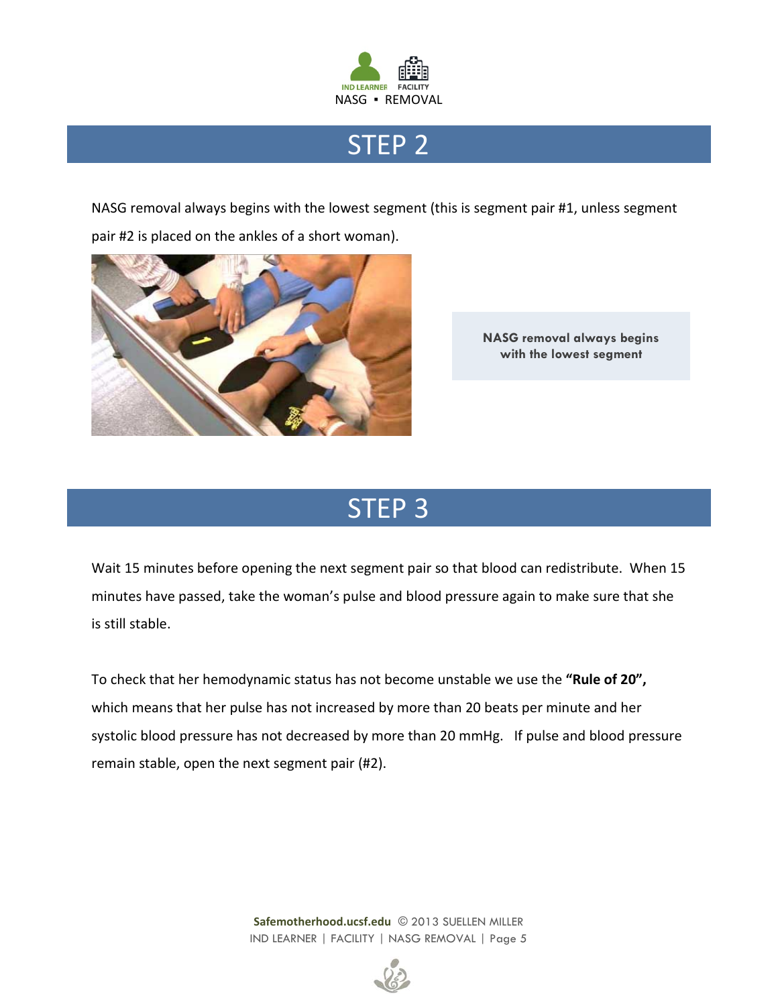

# STEP 2

NASG removal always begins with the lowest segment (this is segment pair #1, unless segment pair #2 is placed on the ankles of a short woman).



**NASG removal always begins with the lowest segment**

# STEP 3

Wait 15 minutes before opening the next segment pair so that blood can redistribute. When 15 minutes have passed, take the woman's pulse and blood pressure again to make sure that she is still stable.

To check that her hemodynamic status has not become unstable we use the **"Rule of 20",** which means that her pulse has not increased by more than 20 beats per minute and her systolic blood pressure has not decreased by more than 20 mmHg. If pulse and blood pressure remain stable, open the next segment pair (#2).

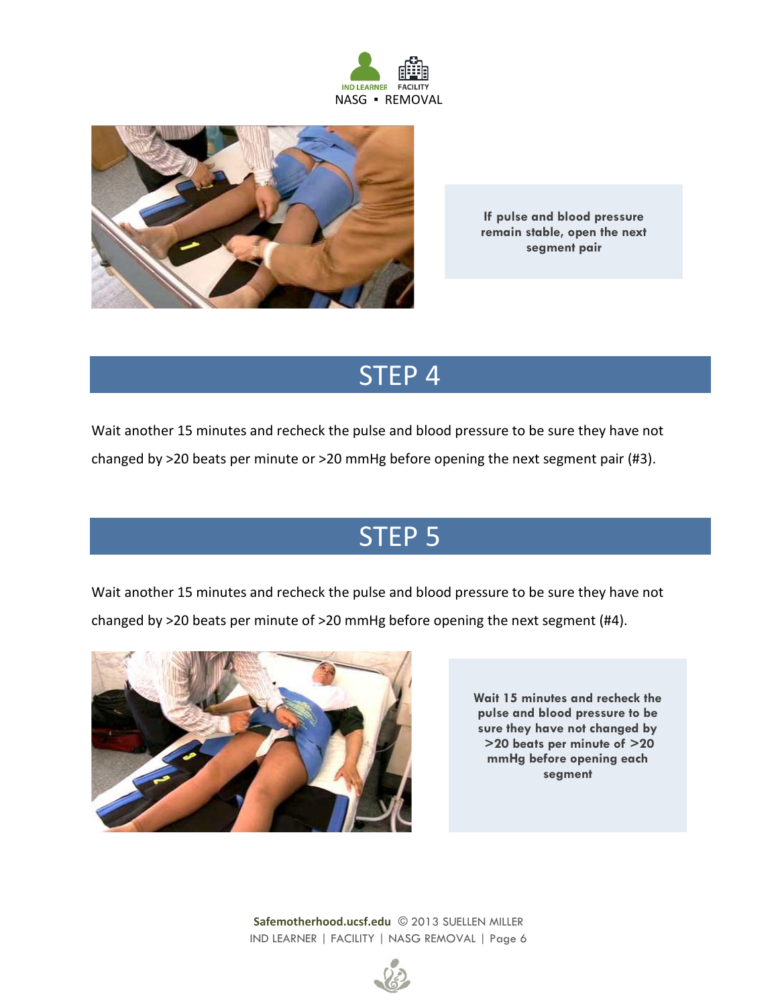



**If pulse and blood pressure remain stable, open the next segment pair**

# STEP 4

Wait another 15 minutes and recheck the pulse and blood pressure to be sure they have not

changed by >20 beats per minute or >20 mmHg before opening the next segment pair (#3).

# STEP 5

Wait another 15 minutes and recheck the pulse and blood pressure to be sure they have not changed by >20 beats per minute of >20 mmHg before opening the next segment (#4).



**Wait 15 minutes and recheck the pulse and blood pressure to be sure they have not changed by >20 beats per minute of >20 mmHg before opening each segment**

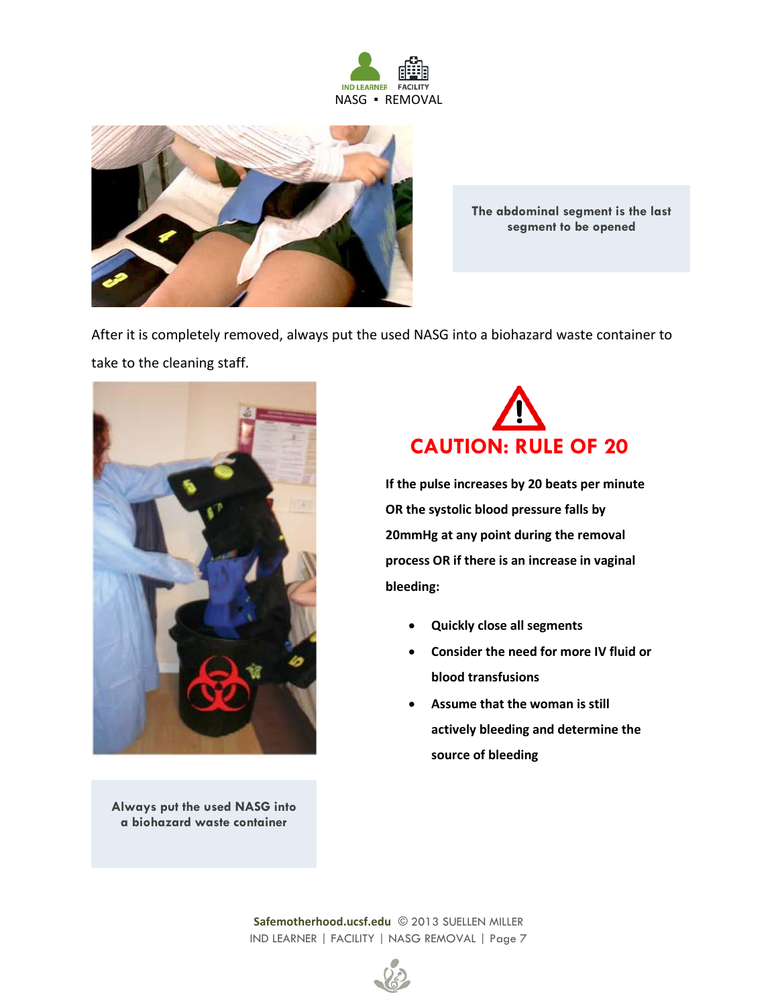



**The abdominal segment is the last segment to be opened**

After it is completely removed, always put the used NASG into a biohazard waste container to take to the cleaning staff.



**Always put the used NASG into a biohazard waste container**



**If the pulse increases by 20 beats per minute OR the systolic blood pressure falls by 20mmHg at any point during the removal process OR if there is an increase in vaginal bleeding:**

- **Quickly close all segments**
- **Consider the need for more IV fluid or blood transfusions**
- **Assume that the woman is still actively bleeding and determine the source of bleeding**

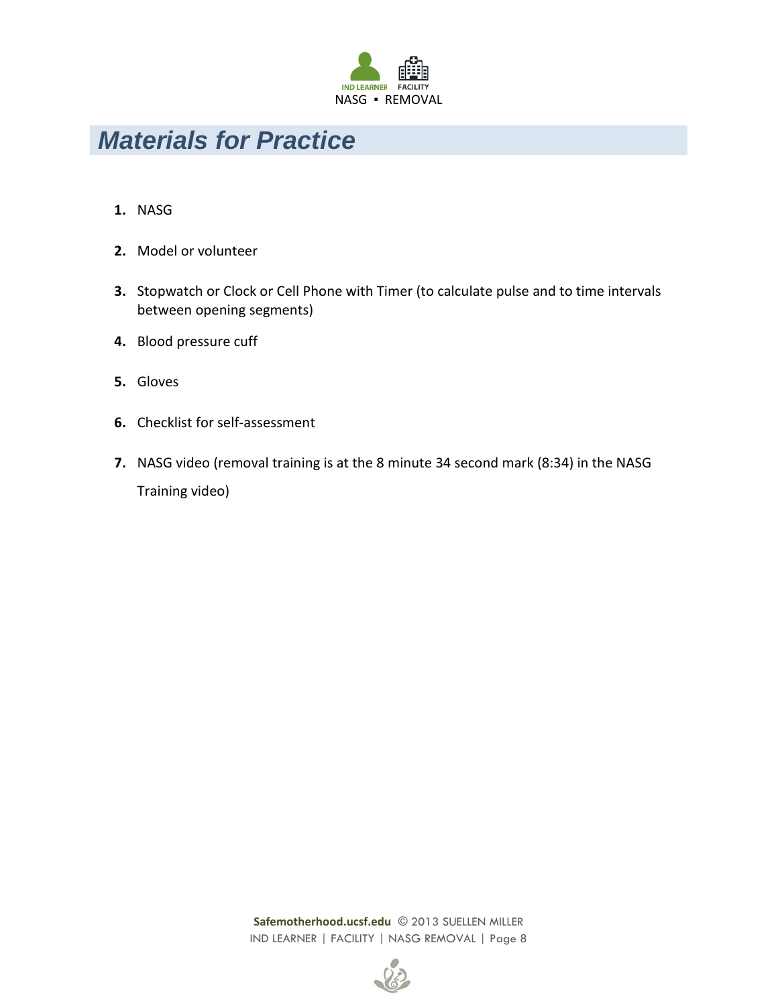

## *Materials for Practice*

- **1.** NASG
- **2.** Model or volunteer
- **3.** Stopwatch or Clock or Cell Phone with Timer (to calculate pulse and to time intervals between opening segments)
- **4.** Blood pressure cuff
- **5.** Gloves
- **6.** Checklist for self-assessment
- **7.** NASG video (removal training is at the 8 minute 34 second mark (8:34) in the NASG Training video)

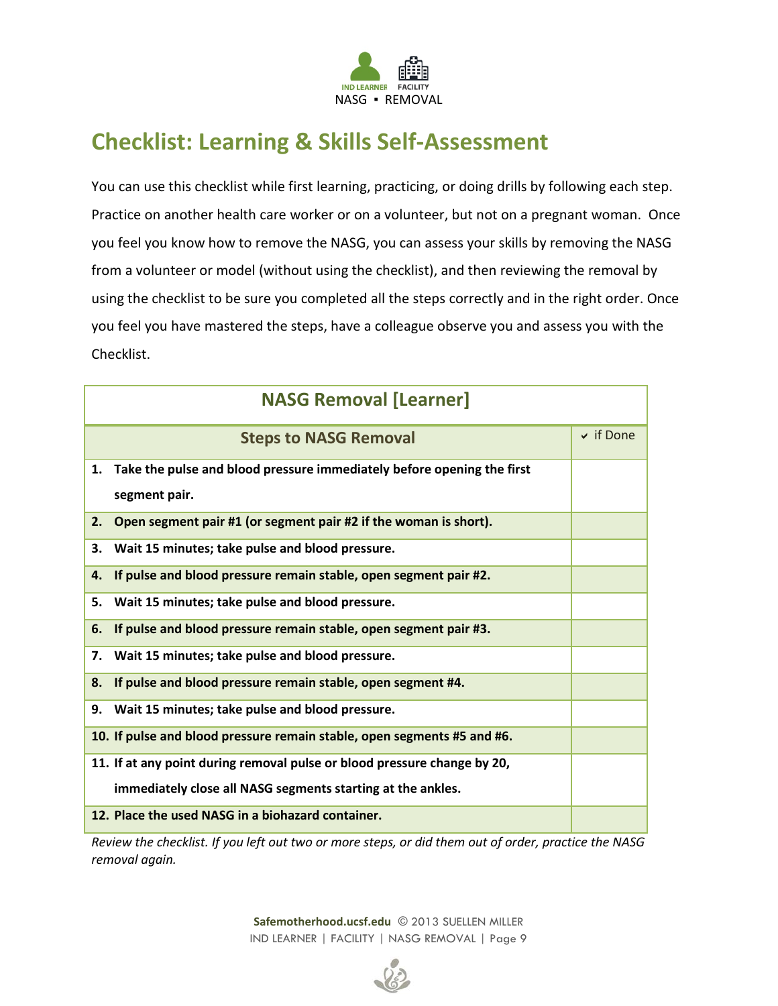

## **Checklist: Learning & Skills Self-Assessment**

You can use this checklist while first learning, practicing, or doing drills by following each step. Practice on another health care worker or on a volunteer, but not on a pregnant woman. Once you feel you know how to remove the NASG, you can assess your skills by removing the NASG from a volunteer or model (without using the checklist), and then reviewing the removal by using the checklist to be sure you completed all the steps correctly and in the right order. Once you feel you have mastered the steps, have a colleague observe you and assess you with the Checklist.

| <b>NASG Removal [Learner]</b> |                                                                           |                |
|-------------------------------|---------------------------------------------------------------------------|----------------|
|                               | <b>Steps to NASG Removal</b>                                              | $\vee$ if Done |
|                               | 1. Take the pulse and blood pressure immediately before opening the first |                |
|                               | segment pair.                                                             |                |
| 2.                            | Open segment pair #1 (or segment pair #2 if the woman is short).          |                |
| 3.                            | Wait 15 minutes; take pulse and blood pressure.                           |                |
| 4.                            | If pulse and blood pressure remain stable, open segment pair #2.          |                |
| 5.                            | Wait 15 minutes; take pulse and blood pressure.                           |                |
| 6.                            | If pulse and blood pressure remain stable, open segment pair #3.          |                |
| 7.                            | Wait 15 minutes; take pulse and blood pressure.                           |                |
| 8.                            | If pulse and blood pressure remain stable, open segment #4.               |                |
| 9.                            | Wait 15 minutes; take pulse and blood pressure.                           |                |
|                               | 10. If pulse and blood pressure remain stable, open segments #5 and #6.   |                |
|                               | 11. If at any point during removal pulse or blood pressure change by 20,  |                |
|                               | immediately close all NASG segments starting at the ankles.               |                |
|                               | 12. Place the used NASG in a biohazard container.                         |                |

*Review the checklist. If you left out two or more steps, or did them out of order, practice the NASG removal again.*

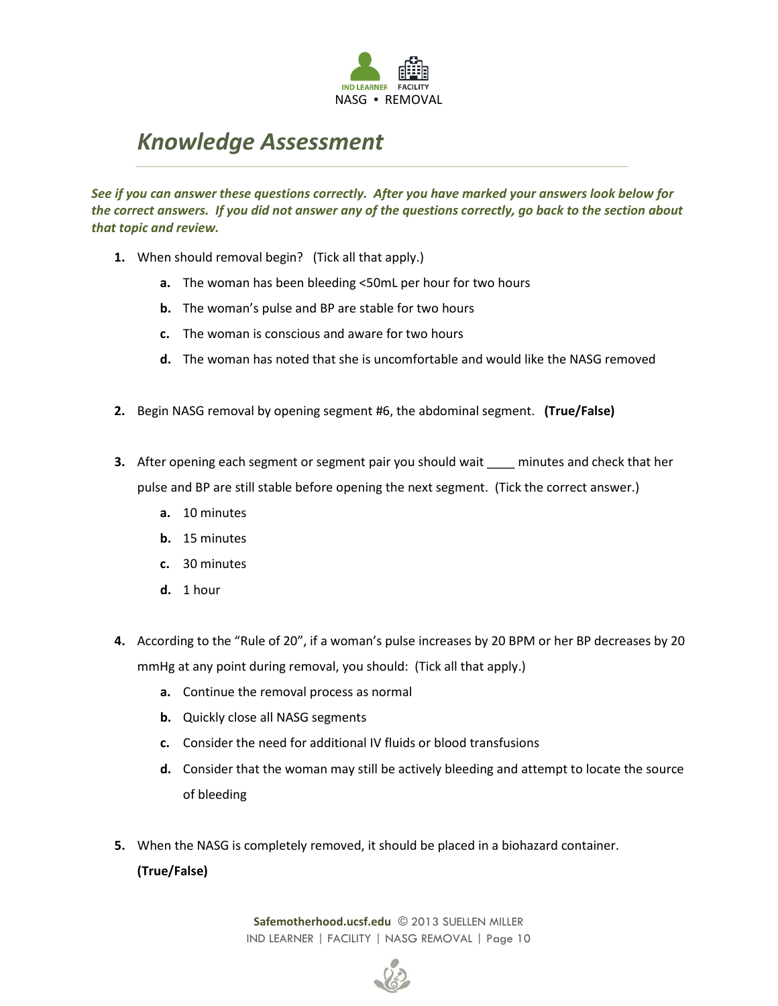

## *Knowledge Assessment*

*See if you can answer these questions correctly. After you have marked your answers look below for the correct answers. If you did not answer any of the questions correctly, go back to the section about that topic and review.*

- **1.** When should removal begin? (Tick all that apply.)
	- **a.** The woman has been bleeding <50mL per hour for two hours
	- **b.** The woman's pulse and BP are stable for two hours
	- **c.** The woman is conscious and aware for two hours
	- **d.** The woman has noted that she is uncomfortable and would like the NASG removed
- **2.** Begin NASG removal by opening segment #6, the abdominal segment. **(True/False)**
- **3.** After opening each segment or segment pair you should wait \_\_\_\_ minutes and check that her pulse and BP are still stable before opening the next segment. (Tick the correct answer.)
	- **a.** 10 minutes
	- **b.** 15 minutes
	- **c.** 30 minutes
	- **d.** 1 hour
- **4.** According to the "Rule of 20", if a woman's pulse increases by 20 BPM or her BP decreases by 20 mmHg at any point during removal, you should: (Tick all that apply.)
	- **a.** Continue the removal process as normal
	- **b.** Quickly close all NASG segments
	- **c.** Consider the need for additional IV fluids or blood transfusions
	- **d.** Consider that the woman may still be actively bleeding and attempt to locate the source of bleeding
- **5.** When the NASG is completely removed, it should be placed in a biohazard container.

#### **(True/False)**